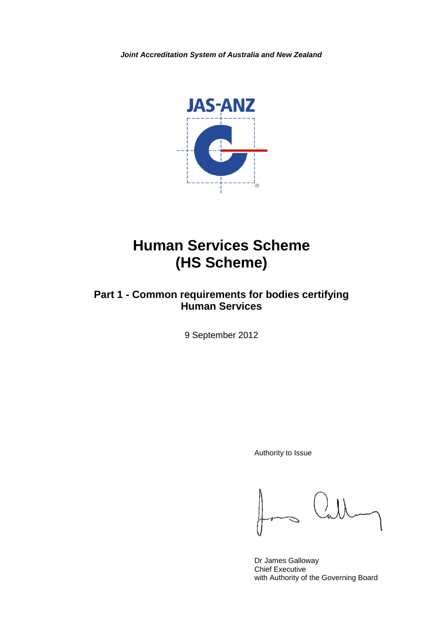*Joint Accreditation System of Australia and New Zealand*



# **Human Services Scheme (HS Scheme)**

# **Part 1 - Common requirements for bodies certifying Human Services**

9 September 2012

Authority to Issue

Dr James Galloway Chief Executive with Authority of the Governing Board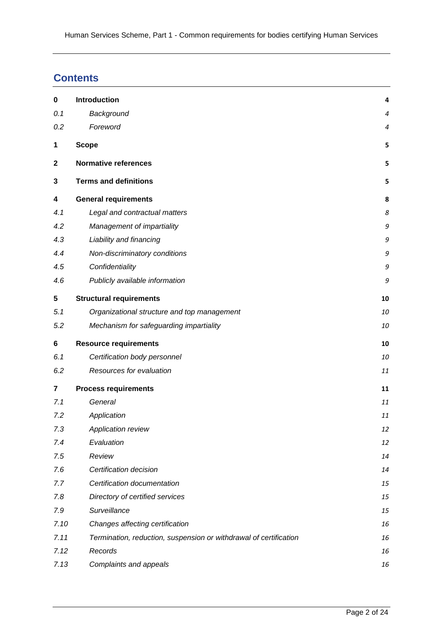# **Contents**

| $\bf{0}$                | Introduction                                                      | 4         |
|-------------------------|-------------------------------------------------------------------|-----------|
| 0.1                     | Background                                                        | 4         |
| 0.2                     | Foreword                                                          | $\pmb{4}$ |
| 1                       | <b>Scope</b>                                                      | 5         |
| $\mathbf{2}$            | <b>Normative references</b>                                       | 5         |
| 3                       | <b>Terms and definitions</b>                                      | 5         |
| 4                       | <b>General requirements</b>                                       | 8         |
| 4.1                     | Legal and contractual matters                                     | 8         |
| 4.2                     | Management of impartiality                                        | 9         |
| 4.3                     | Liability and financing                                           | 9         |
| 4.4                     | Non-discriminatory conditions                                     | 9         |
| 4.5                     | Confidentiality                                                   | 9         |
| 4.6                     | Publicly available information                                    | 9         |
| 5                       | <b>Structural requirements</b>                                    | 10        |
| 5.1                     | Organizational structure and top management                       | 10        |
| 5.2                     | Mechanism for safeguarding impartiality                           | 10        |
| 6                       | <b>Resource requirements</b>                                      | 10        |
| 6.1                     | Certification body personnel                                      | 10        |
| 6.2                     | Resources for evaluation                                          | 11        |
| $\overline{\mathbf{r}}$ | <b>Process requirements</b>                                       | 11        |
| 7.1                     | General                                                           | 11        |
| 7.2                     | Application                                                       | 11        |
| 7.3                     | Application review                                                | 12        |
| 7.4                     | Evaluation                                                        | 12        |
| 7.5                     | Review                                                            | 14        |
| 7.6                     | Certification decision                                            | 14        |
| 7.7                     | Certification documentation                                       | 15        |
| 7.8                     | Directory of certified services                                   | 15        |
| 7.9                     | Surveillance                                                      | 15        |
| 7.10                    | Changes affecting certification                                   | 16        |
| 7.11                    | Termination, reduction, suspension or withdrawal of certification | 16        |
| 7.12                    | Records                                                           | 16        |
| 7.13                    | Complaints and appeals                                            | 16        |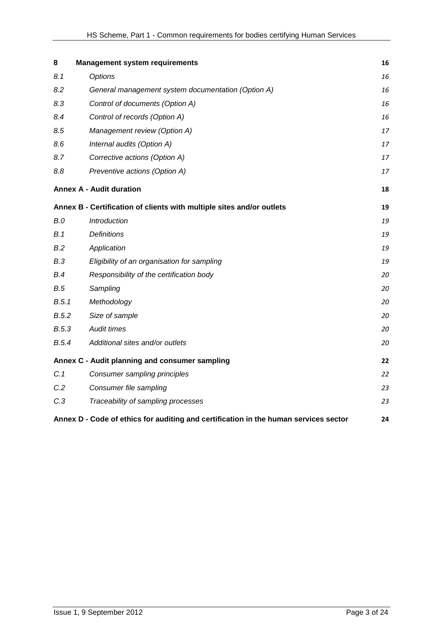| 8     | <b>Management system requirements</b>                                                | 16 |
|-------|--------------------------------------------------------------------------------------|----|
| 8.1   | <b>Options</b>                                                                       | 16 |
| 8.2   | General management system documentation (Option A)                                   | 16 |
| 8.3   | Control of documents (Option A)                                                      | 16 |
| 8.4   | Control of records (Option A)                                                        | 16 |
| 8.5   | Management review (Option A)                                                         | 17 |
| 8.6   | Internal audits (Option A)                                                           | 17 |
| 8.7   | Corrective actions (Option A)                                                        | 17 |
| 8.8   | Preventive actions (Option A)                                                        | 17 |
|       | <b>Annex A - Audit duration</b>                                                      | 18 |
|       | Annex B - Certification of clients with multiple sites and/or outlets                | 19 |
| B.0   | Introduction                                                                         | 19 |
| B.1   | <b>Definitions</b>                                                                   | 19 |
| B.2   | Application                                                                          | 19 |
| B.3   | Eligibility of an organisation for sampling                                          | 19 |
| B.4   | Responsibility of the certification body                                             | 20 |
| B.5   | Sampling                                                                             | 20 |
| B.5.1 | Methodology                                                                          | 20 |
| B.5.2 | Size of sample                                                                       | 20 |
| B.5.3 | Audit times                                                                          | 20 |
| B.5.4 | Additional sites and/or outlets                                                      | 20 |
|       | Annex C - Audit planning and consumer sampling                                       | 22 |
| C.1   | Consumer sampling principles                                                         | 22 |
| C.2   | Consumer file sampling                                                               | 23 |
| C.3   | Traceability of sampling processes                                                   | 23 |
|       | Annex D - Code of ethics for auditing and certification in the human services sector | 24 |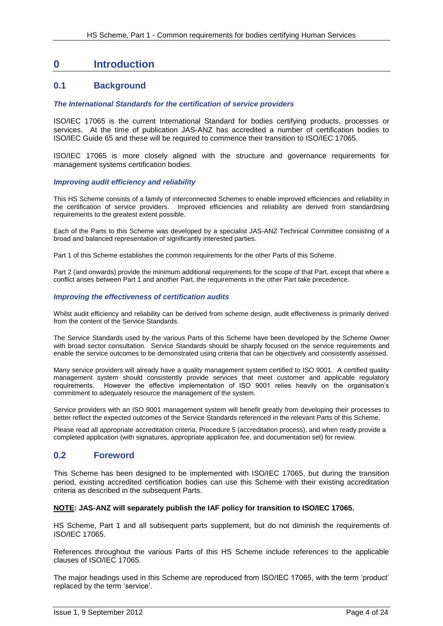# <span id="page-3-0"></span>**0 Introduction**

### <span id="page-3-1"></span>**0.1 Background**

#### *The International Standards for the certification of service providers*

ISO/IEC 17065 is the current International Standard for bodies certifying products, processes or services. At the time of publication JAS-ANZ has accredited a number of certification bodies to ISO/IEC Guide 65 and these will be required to commence their transition to ISO/IEC 17065.

ISO/IEC 17065 is more closely aligned with the structure and governance requirements for management systems certification bodies.

#### *Improving audit efficiency and reliability*

This HS Scheme consists of a family of interconnected Schemes to enable improved efficiencies and reliability in the certification of service providers. Improved efficiencies and reliability are derived from standardising requirements to the greatest extent possible.

Each of the Parts to this Scheme was developed by a specialist JAS-ANZ Technical Committee consisting of a broad and balanced representation of significantly interested parties.

Part 1 of this Scheme establishes the common requirements for the other Parts of this Scheme.

Part 2 (and onwards) provide the minimum additional requirements for the scope of that Part, except that where a conflict arises between Part 1 and another Part, the requirements in the other Part take precedence.

#### *Improving the effectiveness of certification audits*

<span id="page-3-2"></span>Whilst audit efficiency and reliability can be derived from scheme design, audit effectiveness is primarily derived from the content of the Service Standards.

The Service Standards used by the various Parts of this Scheme have been developed by the Scheme Owner with broad sector consultation. Service Standards should be sharply focused on the service requirements and enable the service outcomes to be demonstrated using criteria that can be objectively and consistently assessed.

Many service providers will already have a quality management system certified to ISO 9001. A certified quality management system should consistently provide services that meet customer and applicable regulatory requirements. However the effective implementation of ISO 9001 relies heavily on the organisation's commitment to adequately resource the management of the system.

Service providers with an ISO 9001 management system will benefit greatly from developing their processes to better reflect the expected outcomes of the Service Standards referenced in the relevant Parts of this Scheme.

Please read all appropriate accreditation criteria, Procedure 5 (accreditation process), and when ready provide a completed application (with signatures, appropriate application fee, and documentation set) for review.

### **0.2 Foreword**

This Scheme has been designed to be implemented with ISO/IEC 17065, but during the transition period, existing accredited certification bodies can use this Scheme with their existing accreditation criteria as described in the subsequent Parts.

#### **NOTE: JAS-ANZ will separately publish the IAF policy for transition to ISO/IEC 17065.**

HS Scheme, Part 1 and all subsequent parts supplement, but do not diminish the requirements of ISO/IEC 17065.

References throughout the various Parts of this HS Scheme include references to the applicable clauses of ISO/IEC 17065.

The major headings used in this Scheme are reproduced from ISO/IEC 17065, with the term 'product' replaced by the term 'service'.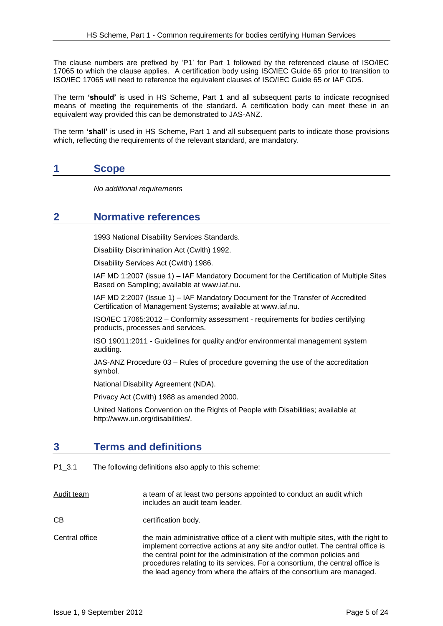The clause numbers are prefixed by 'P1' for Part 1 followed by the referenced clause of ISO/IEC 17065 to which the clause applies. A certification body using ISO/IEC Guide 65 prior to transition to ISO/IEC 17065 will need to reference the equivalent clauses of ISO/IEC Guide 65 or IAF GD5.

The term **'should'** is used in HS Scheme, Part 1 and all subsequent parts to indicate recognised means of meeting the requirements of the standard. A certification body can meet these in an equivalent way provided this can be demonstrated to JAS-ANZ.

The term **'shall'** is used in HS Scheme, Part 1 and all subsequent parts to indicate those provisions which, reflecting the requirements of the relevant standard, are mandatory.

# <span id="page-4-0"></span>**1 Scope**

*No additional requirements*

# <span id="page-4-1"></span>**2 Normative references**

1993 National Disability Services Standards.

Disability Discrimination Act (Cwlth) 1992.

Disability Services Act (Cwlth) 1986.

IAF MD 1:2007 (issue 1) – IAF Mandatory Document for the Certification of Multiple Sites Based on Sampling; available at www.iaf.nu.

IAF MD 2:2007 (Issue 1) – IAF Mandatory Document for the Transfer of Accredited Certification of Management Systems; available at www.iaf.nu.

ISO/IEC 17065:2012 – Conformity assessment - requirements for bodies certifying products, processes and services.

ISO 19011:2011 - Guidelines for quality and/or environmental management system auditing.

JAS-ANZ Procedure 03 – Rules of procedure governing the use of the accreditation symbol.

National Disability Agreement (NDA).

Privacy Act (Cwlth) 1988 as amended 2000*.*

United Nations Convention on the Rights of People with Disabilities; available at http://www.un.org/disabilities/.

# <span id="page-4-2"></span>**3 Terms and definitions**

P1\_3.1 The following definitions also apply to this scheme:

Audit team a team of at least two persons appointed to conduct an audit which includes an audit team leader.

CB certification body.

Central office the main administrative office of a client with multiple sites, with the right to implement corrective actions at any site and/or outlet. The central office is the central point for the administration of the common policies and procedures relating to its services. For a consortium, the central office is the lead agency from where the affairs of the consortium are managed.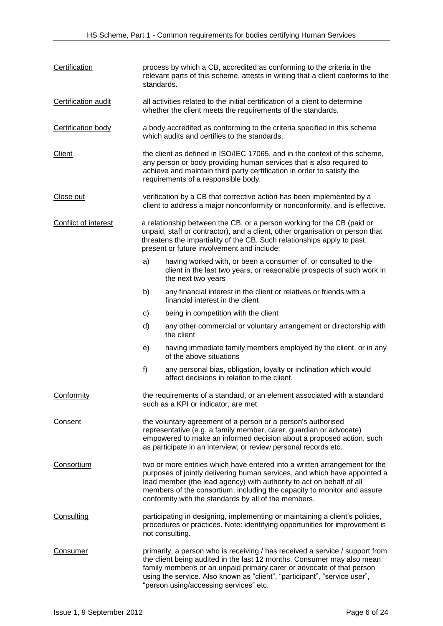| Certification             | process by which a CB, accredited as conforming to the criteria in the<br>relevant parts of this scheme, attests in writing that a client conforms to the<br>standards.                                                                                                                                                                                            |                                                                                                                                                                                                                                                                                                                                                        |  |  |
|---------------------------|--------------------------------------------------------------------------------------------------------------------------------------------------------------------------------------------------------------------------------------------------------------------------------------------------------------------------------------------------------------------|--------------------------------------------------------------------------------------------------------------------------------------------------------------------------------------------------------------------------------------------------------------------------------------------------------------------------------------------------------|--|--|
| Certification audit       | all activities related to the initial certification of a client to determine<br>whether the client meets the requirements of the standards.                                                                                                                                                                                                                        |                                                                                                                                                                                                                                                                                                                                                        |  |  |
| <b>Certification body</b> | a body accredited as conforming to the criteria specified in this scheme<br>which audits and certifies to the standards.                                                                                                                                                                                                                                           |                                                                                                                                                                                                                                                                                                                                                        |  |  |
| <b>Client</b>             | the client as defined in ISO/IEC 17065, and in the context of this scheme,<br>any person or body providing human services that is also required to<br>achieve and maintain third party certification in order to satisfy the<br>requirements of a responsible body.                                                                                                |                                                                                                                                                                                                                                                                                                                                                        |  |  |
| Close out                 | verification by a CB that corrective action has been implemented by a<br>client to address a major nonconformity or nonconformity, and is effective.                                                                                                                                                                                                               |                                                                                                                                                                                                                                                                                                                                                        |  |  |
| Conflict of interest      | a relationship between the CB, or a person working for the CB (paid or<br>unpaid, staff or contractor), and a client, other organisation or person that<br>threatens the impartiality of the CB. Such relationships apply to past,<br>present or future involvement and include:                                                                                   |                                                                                                                                                                                                                                                                                                                                                        |  |  |
|                           | a)                                                                                                                                                                                                                                                                                                                                                                 | having worked with, or been a consumer of, or consulted to the<br>client in the last two years, or reasonable prospects of such work in<br>the next two years                                                                                                                                                                                          |  |  |
|                           | b)                                                                                                                                                                                                                                                                                                                                                                 | any financial interest in the client or relatives or friends with a<br>financial interest in the client                                                                                                                                                                                                                                                |  |  |
|                           | C)                                                                                                                                                                                                                                                                                                                                                                 | being in competition with the client                                                                                                                                                                                                                                                                                                                   |  |  |
|                           | d)                                                                                                                                                                                                                                                                                                                                                                 | any other commercial or voluntary arrangement or directorship with<br>the client                                                                                                                                                                                                                                                                       |  |  |
|                           | e)                                                                                                                                                                                                                                                                                                                                                                 | having immediate family members employed by the client, or in any<br>of the above situations                                                                                                                                                                                                                                                           |  |  |
|                           | f)                                                                                                                                                                                                                                                                                                                                                                 | any personal bias, obligation, loyalty or inclination which would<br>affect decisions in relation to the client.                                                                                                                                                                                                                                       |  |  |
| <b>Conformity</b>         |                                                                                                                                                                                                                                                                                                                                                                    | the requirements of a standard, or an element associated with a standard<br>such as a KPI or indicator, are met.                                                                                                                                                                                                                                       |  |  |
| Consent                   | the voluntary agreement of a person or a person's authorised<br>representative (e.g. a family member, carer, guardian or advocate)<br>empowered to make an informed decision about a proposed action, such<br>as participate in an interview, or review personal records etc.                                                                                      |                                                                                                                                                                                                                                                                                                                                                        |  |  |
| Consortium                | two or more entities which have entered into a written arrangement for the<br>purposes of jointly delivering human services, and which have appointed a<br>lead member (the lead agency) with authority to act on behalf of all<br>members of the consortium, including the capacity to monitor and assure<br>conformity with the standards by all of the members. |                                                                                                                                                                                                                                                                                                                                                        |  |  |
| Consulting                |                                                                                                                                                                                                                                                                                                                                                                    | participating in designing, implementing or maintaining a client's policies,<br>procedures or practices. Note: identifying opportunities for improvement is<br>not consulting.                                                                                                                                                                         |  |  |
| Consumer                  |                                                                                                                                                                                                                                                                                                                                                                    | primarily, a person who is receiving / has received a service / support from<br>the client being audited in the last 12 months. Consumer may also mean<br>family member/s or an unpaid primary carer or advocate of that person<br>using the service. Also known as "client", "participant", "service user",<br>"person using/accessing services" etc. |  |  |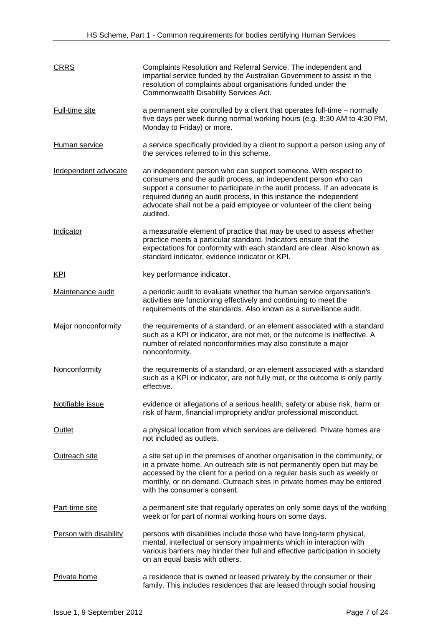| <b>CRRS</b>            | Complaints Resolution and Referral Service. The independent and<br>impartial service funded by the Australian Government to assist in the<br>resolution of complaints about organisations funded under the<br>Commonwealth Disability Services Act.                                                                                                                       |
|------------------------|---------------------------------------------------------------------------------------------------------------------------------------------------------------------------------------------------------------------------------------------------------------------------------------------------------------------------------------------------------------------------|
| <b>Full-time site</b>  | a permanent site controlled by a client that operates full-time - normally<br>five days per week during normal working hours (e.g. 8:30 AM to 4:30 PM,<br>Monday to Friday) or more.                                                                                                                                                                                      |
| Human service          | a service specifically provided by a client to support a person using any of<br>the services referred to in this scheme.                                                                                                                                                                                                                                                  |
| Independent advocate   | an independent person who can support someone. With respect to<br>consumers and the audit process, an independent person who can<br>support a consumer to participate in the audit process. If an advocate is<br>required during an audit process, in this instance the independent<br>advocate shall not be a paid employee or volunteer of the client being<br>audited. |
| Indicator              | a measurable element of practice that may be used to assess whether<br>practice meets a particular standard. Indicators ensure that the<br>expectations for conformity with each standard are clear. Also known as<br>standard indicator, evidence indicator or KPI.                                                                                                      |
| <u>KPI</u>             | key performance indicator.                                                                                                                                                                                                                                                                                                                                                |
| Maintenance audit      | a periodic audit to evaluate whether the human service organisation's<br>activities are functioning effectively and continuing to meet the<br>requirements of the standards. Also known as a surveillance audit.                                                                                                                                                          |
| Major nonconformity    | the requirements of a standard, or an element associated with a standard<br>such as a KPI or indicator, are not met, or the outcome is ineffective. A<br>number of related nonconformities may also constitute a major<br>nonconformity.                                                                                                                                  |
| Nonconformity          | the requirements of a standard, or an element associated with a standard<br>such as a KPI or indicator, are not fully met, or the outcome is only partly<br>effective.                                                                                                                                                                                                    |
| Notifiable issue       | evidence or allegations of a serious health, safety or abuse risk, harm or<br>risk of harm, financial impropriety and/or professional misconduct.                                                                                                                                                                                                                         |
| Outlet                 | a physical location from which services are delivered. Private homes are<br>not included as outlets.                                                                                                                                                                                                                                                                      |
| Outreach site          | a site set up in the premises of another organisation in the community, or<br>in a private home. An outreach site is not permanently open but may be<br>accessed by the client for a period on a regular basis such as weekly or<br>monthly, or on demand. Outreach sites in private homes may be entered<br>with the consumer's consent.                                 |
| Part-time site         | a permanent site that regularly operates on only some days of the working<br>week or for part of normal working hours on some days.                                                                                                                                                                                                                                       |
| Person with disability | persons with disabilities include those who have long-term physical,<br>mental, intellectual or sensory impairments which in interaction with<br>various barriers may hinder their full and effective participation in society<br>on an equal basis with others.                                                                                                          |
| Private home           | a residence that is owned or leased privately by the consumer or their<br>family. This includes residences that are leased through social housing                                                                                                                                                                                                                         |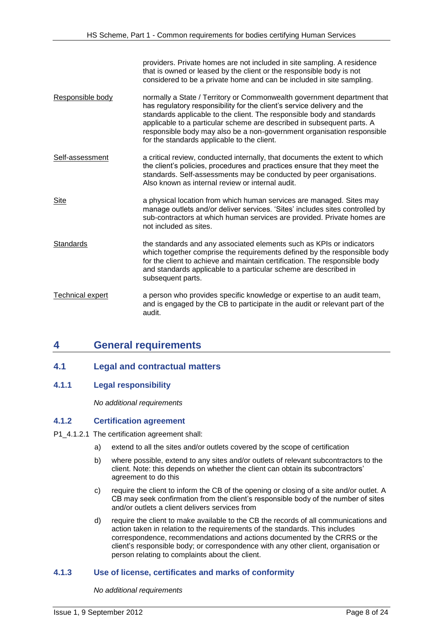providers. Private homes are not included in site sampling. A residence that is owned or leased by the client or the responsible body is not considered to be a private home and can be included in site sampling.

- Responsible body normally a State / Territory or Commonwealth government department that has regulatory responsibility for the client's service delivery and the standards applicable to the client. The responsible body and standards applicable to a particular scheme are described in subsequent parts. A responsible body may also be a non-government organisation responsible for the standards applicable to the client.
- Self-assessment a critical review, conducted internally, that documents the extent to which the client's policies, procedures and practices ensure that they meet the standards. Self-assessments may be conducted by peer organisations. Also known as internal review or internal audit.
- Site a physical location from which human services are managed. Sites may manage outlets and/or deliver services. 'Sites' includes sites controlled by sub-contractors at which human services are provided. Private homes are not included as sites.
- Standards the standards and any associated elements such as KPIs or indicators which together comprise the requirements defined by the responsible body for the client to achieve and maintain certification. The responsible body and standards applicable to a particular scheme are described in subsequent parts.
- Technical expert a person who provides specific knowledge or expertise to an audit team, and is engaged by the CB to participate in the audit or relevant part of the audit.

# <span id="page-7-0"></span>**4 General requirements**

### <span id="page-7-1"></span>**4.1 Legal and contractual matters**

### **4.1.1 Legal responsibility**

*No additional requirements*

#### **4.1.2 Certification agreement**

- P1\_4.1.2.1 The certification agreement shall:
	- a) extend to all the sites and/or outlets covered by the scope of certification
	- b) where possible, extend to any sites and/or outlets of relevant subcontractors to the client. Note: this depends on whether the client can obtain its subcontractors' agreement to do this
	- c) require the client to inform the CB of the opening or closing of a site and/or outlet. A CB may seek confirmation from the client's responsible body of the number of sites and/or outlets a client delivers services from
	- d) require the client to make available to the CB the records of all communications and action taken in relation to the requirements of the standards. This includes correspondence, recommendations and actions documented by the CRRS or the client's responsible body; or correspondence with any other client, organisation or person relating to complaints about the client.

#### **4.1.3 Use of license, certificates and marks of conformity**

*No additional requirements*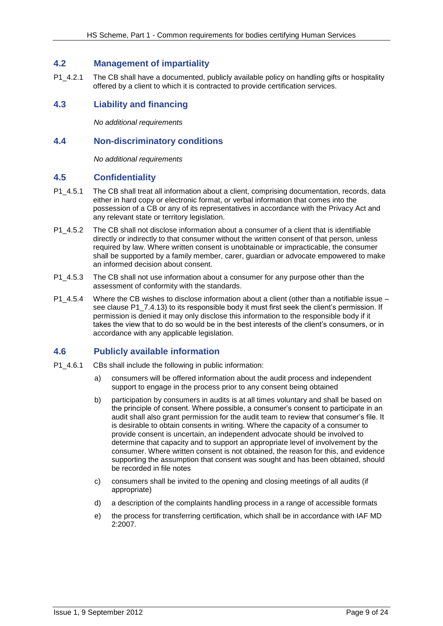### <span id="page-8-0"></span>**4.2 Management of impartiality**

P1 4.2.1 The CB shall have a documented, publicly available policy on handling gifts or hospitality offered by a client to which it is contracted to provide certification services.

# <span id="page-8-1"></span>**4.3 Liability and financing**

*No additional requirements*

### <span id="page-8-2"></span>**4.4 Non-discriminatory conditions**

*No additional requirements*

### <span id="page-8-3"></span>**4.5 Confidentiality**

- P1\_4.5.1 The CB shall treat all information about a client, comprising documentation, records, data either in hard copy or electronic format, or verbal information that comes into the possession of a CB or any of its representatives in accordance with the Privacy Act and any relevant state or territory legislation.
- P1\_4.5.2 The CB shall not disclose information about a consumer of a client that is identifiable directly or indirectly to that consumer without the written consent of that person, unless required by law. Where written consent is unobtainable or impracticable, the consumer shall be supported by a family member, carer, guardian or advocate empowered to make an informed decision about consent.
- P1 4.5.3 The CB shall not use information about a consumer for any purpose other than the assessment of conformity with the standards.
- P1\_4.5.4 Where the CB wishes to disclose information about a client (other than a notifiable issue see clause P1 7.4.13) to its responsible body it must first seek the client's permission. If permission is denied it may only disclose this information to the responsible body if it takes the view that to do so would be in the best interests of the client's consumers, or in accordance with any applicable legislation.

# <span id="page-8-4"></span>**4.6 Publicly available information**

- P1\_4.6.1 CBs shall include the following in public information:
	- a) consumers will be offered information about the audit process and independent support to engage in the process prior to any consent being obtained
	- b) participation by consumers in audits is at all times voluntary and shall be based on the principle of consent. Where possible, a consumer's consent to participate in an audit shall also grant permission for the audit team to review that consumer's file. It is desirable to obtain consents in writing. Where the capacity of a consumer to provide consent is uncertain, an independent advocate should be involved to determine that capacity and to support an appropriate level of involvement by the consumer. Where written consent is not obtained, the reason for this, and evidence supporting the assumption that consent was sought and has been obtained, should be recorded in file notes
	- c) consumers shall be invited to the opening and closing meetings of all audits (if appropriate)
	- d) a description of the complaints handling process in a range of accessible formats
	- e) the process for transferring certification, which shall be in accordance with IAF MD 2:2007.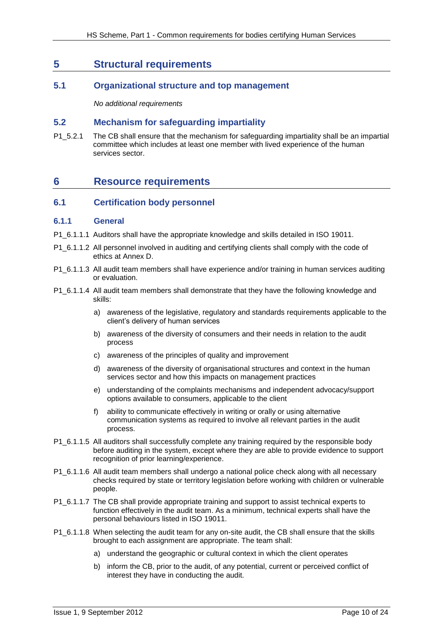# <span id="page-9-0"></span>**5 Structural requirements**

### <span id="page-9-1"></span>**5.1 Organizational structure and top management**

*No additional requirements*

### <span id="page-9-2"></span>**5.2 Mechanism for safeguarding impartiality**

P1\_5.2.1 The CB shall ensure that the mechanism for safeguarding impartiality shall be an impartial committee which includes at least one member with lived experience of the human services sector.

# <span id="page-9-3"></span>**6 Resource requirements**

#### <span id="page-9-4"></span>**6.1 Certification body personnel**

#### **6.1.1 General**

- P1 6.1.1.1 Auditors shall have the appropriate knowledge and skills detailed in ISO 19011.
- P1\_6.1.1.2 All personnel involved in auditing and certifying clients shall comply with the code of ethics at Annex D.
- P1\_6.1.1.3 All audit team members shall have experience and/or training in human services auditing or evaluation.
- P1\_6.1.1.4 All audit team members shall demonstrate that they have the following knowledge and skills:
	- a) awareness of the legislative, regulatory and standards requirements applicable to the client's delivery of human services
	- b) awareness of the diversity of consumers and their needs in relation to the audit process
	- c) awareness of the principles of quality and improvement
	- d) awareness of the diversity of organisational structures and context in the human services sector and how this impacts on management practices
	- e) understanding of the complaints mechanisms and independent advocacy/support options available to consumers, applicable to the client
	- f) ability to communicate effectively in writing or orally or using alternative communication systems as required to involve all relevant parties in the audit process.
- P1\_6.1.1.5 All auditors shall successfully complete any training required by the responsible body before auditing in the system, except where they are able to provide evidence to support recognition of prior learning/experience.
- P1  $6.1.1.6$  All audit team members shall undergo a national police check along with all necessary checks required by state or territory legislation before working with children or vulnerable people.
- P1\_6.1.1.7 The CB shall provide appropriate training and support to assist technical experts to function effectively in the audit team. As a minimum, technical experts shall have the personal behaviours listed in ISO 19011.
- P1  $6.1.1.8$  When selecting the audit team for any on-site audit, the CB shall ensure that the skills brought to each assignment are appropriate. The team shall:
	- a) understand the geographic or cultural context in which the client operates
	- b) inform the CB, prior to the audit, of any potential, current or perceived conflict of interest they have in conducting the audit.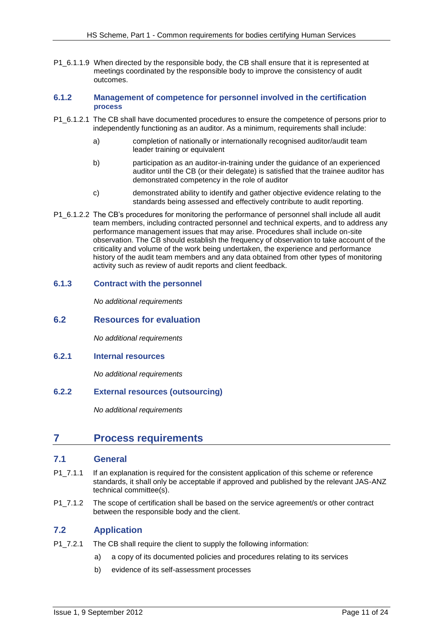P1\_6.1.1.9 When directed by the responsible body, the CB shall ensure that it is represented at meetings coordinated by the responsible body to improve the consistency of audit outcomes.

#### **6.1.2 Management of competence for personnel involved in the certification process**

- P1\_6.1.2.1 The CB shall have documented procedures to ensure the competence of persons prior to independently functioning as an auditor. As a minimum, requirements shall include:
	- a) completion of nationally or internationally recognised auditor/audit team leader training or equivalent
	- b) participation as an auditor-in-training under the guidance of an experienced auditor until the CB (or their delegate) is satisfied that the trainee auditor has demonstrated competency in the role of auditor
	- c) demonstrated ability to identify and gather objective evidence relating to the standards being assessed and effectively contribute to audit reporting.
- P1 6.1.2.2 The CB's procedures for monitoring the performance of personnel shall include all audit team members, including contracted personnel and technical experts, and to address any performance management issues that may arise. Procedures shall include on-site observation. The CB should establish the frequency of observation to take account of the criticality and volume of the work being undertaken, the experience and performance history of the audit team members and any data obtained from other types of monitoring activity such as review of audit reports and client feedback.

### **6.1.3 Contract with the personnel**

*No additional requirements*

#### <span id="page-10-0"></span>**6.2 Resources for evaluation**

*No additional requirements*

#### **6.2.1 Internal resources**

*No additional requirements*

### **6.2.2 External resources (outsourcing)**

*No additional requirements*

# <span id="page-10-1"></span>**7 Process requirements**

#### <span id="page-10-2"></span>**7.1 General**

- P1\_7.1.1 If an explanation is required for the consistent application of this scheme or reference standards, it shall only be acceptable if approved and published by the relevant JAS-ANZ technical committee(s).
- P1 7.1.2 The scope of certification shall be based on the service agreement/s or other contract between the responsible body and the client.

### <span id="page-10-3"></span>**7.2 Application**

- P1\_7.2.1 The CB shall require the client to supply the following information:
	- a) a copy of its documented policies and procedures relating to its services
	- b) evidence of its self-assessment processes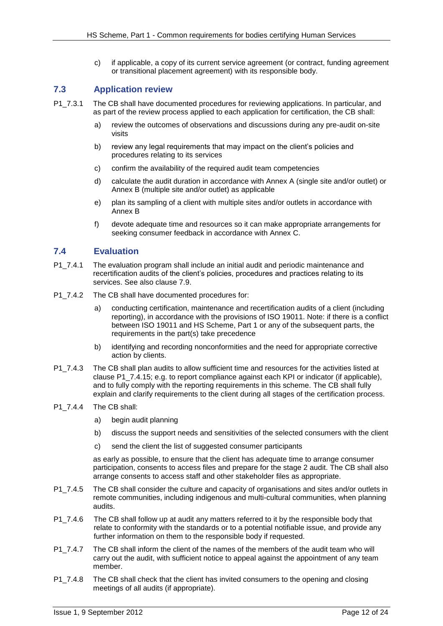c) if applicable, a copy of its current service agreement (or contract, funding agreement or transitional placement agreement) with its responsible body.

### <span id="page-11-0"></span>**7.3 Application review**

- P1 7.3.1 The CB shall have documented procedures for reviewing applications. In particular, and as part of the review process applied to each application for certification, the CB shall:
	- a) review the outcomes of observations and discussions during any pre-audit on-site visits
	- b) review any legal requirements that may impact on the client's policies and procedures relating to its services
	- c) confirm the availability of the required audit team competencies
	- d) calculate the audit duration in accordance with Annex A (single site and/or outlet) or Annex B (multiple site and/or outlet) as applicable
	- e) plan its sampling of a client with multiple sites and/or outlets in accordance with Annex B
	- f) devote adequate time and resources so it can make appropriate arrangements for seeking consumer feedback in accordance with Annex C.

### <span id="page-11-1"></span>**7.4 Evaluation**

- P1 7.4.1 The evaluation program shall include an initial audit and periodic maintenance and recertification audits of the client's policies, procedures and practices relating to its services. See also clause 7.9.
- P1\_7.4.2 The CB shall have documented procedures for:
	- a) conducting certification, maintenance and recertification audits of a client (including reporting), in accordance with the provisions of ISO 19011. Note: if there is a conflict between ISO 19011 and HS Scheme, Part 1 or any of the subsequent parts, the requirements in the part(s) take precedence
	- b) identifying and recording nonconformities and the need for appropriate corrective action by clients.
- P1 7.4.3 The CB shall plan audits to allow sufficient time and resources for the activities listed at clause P1\_7.4.15; e.g. to report compliance against each KPI or indicator (if applicable), and to fully comply with the reporting requirements in this scheme. The CB shall fully explain and clarify requirements to the client during all stages of the certification process.
- P1 7.4.4 The CB shall:
	- a) begin audit planning
	- b) discuss the support needs and sensitivities of the selected consumers with the client
	- c) send the client the list of suggested consumer participants

as early as possible, to ensure that the client has adequate time to arrange consumer participation, consents to access files and prepare for the stage 2 audit. The CB shall also arrange consents to access staff and other stakeholder files as appropriate.

- P1\_7.4.5 The CB shall consider the culture and capacity of organisations and sites and/or outlets in remote communities, including indigenous and multi-cultural communities, when planning audits.
- P1 7.4.6 The CB shall follow up at audit any matters referred to it by the responsible body that relate to conformity with the standards or to a potential notifiable issue, and provide any further information on them to the responsible body if requested.
- P1 7.4.7 The CB shall inform the client of the names of the members of the audit team who will carry out the audit, with sufficient notice to appeal against the appointment of any team member.
- P1\_7.4.8 The CB shall check that the client has invited consumers to the opening and closing meetings of all audits (if appropriate).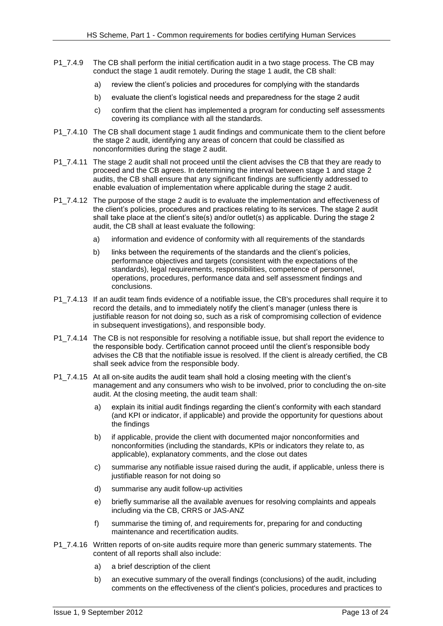- P1  $7.4.9$  The CB shall perform the initial certification audit in a two stage process. The CB may conduct the stage 1 audit remotely. During the stage 1 audit, the CB shall:
	- a) review the client's policies and procedures for complying with the standards
	- b) evaluate the client's logistical needs and preparedness for the stage 2 audit
	- c) confirm that the client has implemented a program for conducting self assessments covering its compliance with all the standards.
- P1\_7.4.10 The CB shall document stage 1 audit findings and communicate them to the client before the stage 2 audit, identifying any areas of concern that could be classified as nonconformities during the stage 2 audit.
- P1 7.4.11 The stage 2 audit shall not proceed until the client advises the CB that they are ready to proceed and the CB agrees. In determining the interval between stage 1 and stage 2 audits, the CB shall ensure that any significant findings are sufficiently addressed to enable evaluation of implementation where applicable during the stage 2 audit.
- P1 7.4.12 The purpose of the stage 2 audit is to evaluate the implementation and effectiveness of the client's policies, procedures and practices relating to its services. The stage 2 audit shall take place at the client's site(s) and/or outlet(s) as applicable. During the stage 2 audit, the CB shall at least evaluate the following:
	- a) information and evidence of conformity with all requirements of the standards
	- b) links between the requirements of the standards and the client's policies, performance objectives and targets (consistent with the expectations of the standards), legal requirements, responsibilities, competence of personnel, operations, procedures, performance data and self assessment findings and conclusions.
- P1 7.4.13 If an audit team finds evidence of a notifiable issue, the CB's procedures shall require it to record the details, and to immediately notify the client's manager (unless there is justifiable reason for not doing so, such as a risk of compromising collection of evidence in subsequent investigations), and responsible body.
- P1 7.4.14 The CB is not responsible for resolving a notifiable issue, but shall report the evidence to the responsible body. Certification cannot proceed until the client's responsible body advises the CB that the notifiable issue is resolved. If the client is already certified, the CB shall seek advice from the responsible body.
- P1\_7.4.15 At all on-site audits the audit team shall hold a closing meeting with the client's management and any consumers who wish to be involved, prior to concluding the on-site audit. At the closing meeting, the audit team shall:
	- a) explain its initial audit findings regarding the client's conformity with each standard (and KPI or indicator, if applicable) and provide the opportunity for questions about the findings
	- b) if applicable, provide the client with documented major nonconformities and nonconformities (including the standards, KPIs or indicators they relate to, as applicable), explanatory comments, and the close out dates
	- c) summarise any notifiable issue raised during the audit, if applicable, unless there is justifiable reason for not doing so
	- d) summarise any audit follow-up activities
	- e) briefly summarise all the available avenues for resolving complaints and appeals including via the CB, CRRS or JAS-ANZ
	- f) summarise the timing of, and requirements for, preparing for and conducting maintenance and recertification audits.
- P1 7.4.16 Written reports of on-site audits require more than generic summary statements. The content of all reports shall also include:
	- a) a brief description of the client
	- b) an executive summary of the overall findings (conclusions) of the audit, including comments on the effectiveness of the client's policies, procedures and practices to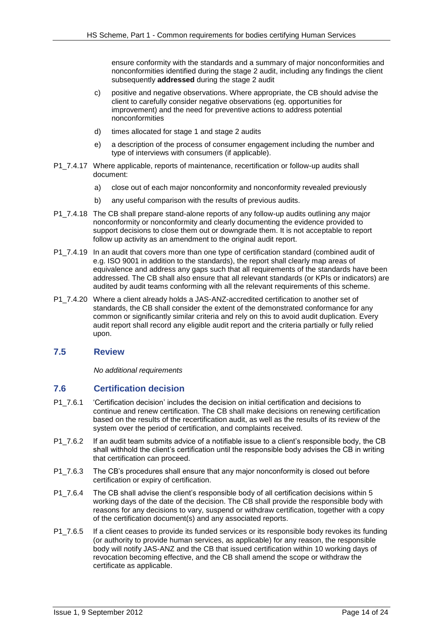ensure conformity with the standards and a summary of major nonconformities and nonconformities identified during the stage 2 audit, including any findings the client subsequently **addressed** during the stage 2 audit

- c) positive and negative observations. Where appropriate, the CB should advise the client to carefully consider negative observations (eg. opportunities for improvement) and the need for preventive actions to address potential nonconformities
- d) times allocated for stage 1 and stage 2 audits
- e) a description of the process of consumer engagement including the number and type of interviews with consumers (if applicable).
- P1 7.4.17 Where applicable, reports of maintenance, recertification or follow-up audits shall document:
	- a) close out of each major nonconformity and nonconformity revealed previously
	- b) any useful comparison with the results of previous audits.
- P1 7.4.18 The CB shall prepare stand-alone reports of any follow-up audits outlining any major nonconformity or nonconformity and clearly documenting the evidence provided to support decisions to close them out or downgrade them. It is not acceptable to report follow up activity as an amendment to the original audit report.
- P1 7.4.19 In an audit that covers more than one type of certification standard (combined audit of e.g. ISO 9001 in addition to the standards), the report shall clearly map areas of equivalence and address any gaps such that all requirements of the standards have been addressed. The CB shall also ensure that all relevant standards (or KPIs or indicators) are audited by audit teams conforming with all the relevant requirements of this scheme.
- P1\_7.4.20 Where a client already holds a JAS-ANZ-accredited certification to another set of standards, the CB shall consider the extent of the demonstrated conformance for any common or significantly similar criteria and rely on this to avoid audit duplication. Every audit report shall record any eligible audit report and the criteria partially or fully relied upon.

### <span id="page-13-0"></span>**7.5 Review**

*No additional requirements*

### <span id="page-13-1"></span>**7.6 Certification decision**

- P1 7.6.1 'Certification decision' includes the decision on initial certification and decisions to continue and renew certification. The CB shall make decisions on renewing certification based on the results of the recertification audit, as well as the results of its review of the system over the period of certification, and complaints received.
- P1\_7.6.2 If an audit team submits advice of a notifiable issue to a client's responsible body, the CB shall withhold the client's certification until the responsible body advises the CB in writing that certification can proceed.
- P1 7.6.3 The CB's procedures shall ensure that any major nonconformity is closed out before certification or expiry of certification.
- P1 7.6.4 The CB shall advise the client's responsible body of all certification decisions within 5 working days of the date of the decision. The CB shall provide the responsible body with reasons for any decisions to vary, suspend or withdraw certification, together with a copy of the certification document(s) and any associated reports.
- P1 7.6.5 If a client ceases to provide its funded services or its responsible body revokes its funding (or authority to provide human services, as applicable) for any reason, the responsible body will notify JAS-ANZ and the CB that issued certification within 10 working days of revocation becoming effective, and the CB shall amend the scope or withdraw the certificate as applicable.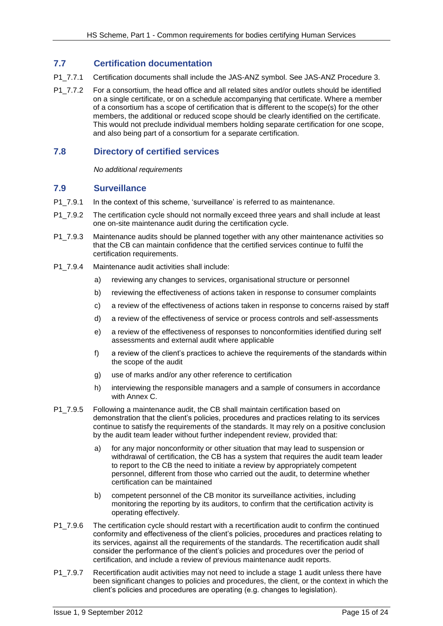### <span id="page-14-0"></span>**7.7 Certification documentation**

- P1 7.7.1 Certification documents shall include the JAS-ANZ symbol. See JAS-ANZ Procedure 3.
- P1\_7.7.2 For a consortium, the head office and all related sites and/or outlets should be identified on a single certificate, or on a schedule accompanying that certificate. Where a member of a consortium has a scope of certification that is different to the scope(s) for the other members, the additional or reduced scope should be clearly identified on the certificate. This would not preclude individual members holding separate certification for one scope, and also being part of a consortium for a separate certification.

### <span id="page-14-1"></span>**7.8 Directory of certified services**

*No additional requirements*

### <span id="page-14-2"></span>**7.9 Surveillance**

- P1 7.9.1 In the context of this scheme, 'surveillance' is referred to as maintenance.
- P1\_7.9.2 The certification cycle should not normally exceed three years and shall include at least one on-site maintenance audit during the certification cycle.
- P1\_7.9.3 Maintenance audits should be planned together with any other maintenance activities so that the CB can maintain confidence that the certified services continue to fulfil the certification requirements.
- P1\_7.9.4 Maintenance audit activities shall include:
	- a) reviewing any changes to services, organisational structure or personnel
	- b) reviewing the effectiveness of actions taken in response to consumer complaints
	- c) a review of the effectiveness of actions taken in response to concerns raised by staff
	- d) a review of the effectiveness of service or process controls and self-assessments
	- e) a review of the effectiveness of responses to nonconformities identified during self assessments and external audit where applicable
	- f) a review of the client's practices to achieve the requirements of the standards within the scope of the audit
	- g) use of marks and/or any other reference to certification
	- h) interviewing the responsible managers and a sample of consumers in accordance with Annex C.
- P1\_7.9.5 Following a maintenance audit, the CB shall maintain certification based on demonstration that the client's policies, procedures and practices relating to its services continue to satisfy the requirements of the standards. It may rely on a positive conclusion by the audit team leader without further independent review, provided that:
	- a) for any major nonconformity or other situation that may lead to suspension or withdrawal of certification, the CB has a system that requires the audit team leader to report to the CB the need to initiate a review by appropriately competent personnel, different from those who carried out the audit, to determine whether certification can be maintained
	- b) competent personnel of the CB monitor its surveillance activities, including monitoring the reporting by its auditors, to confirm that the certification activity is operating effectively.
- P1 7.9.6 The certification cycle should restart with a recertification audit to confirm the continued conformity and effectiveness of the client's policies, procedures and practices relating to its services, against all the requirements of the standards. The recertification audit shall consider the performance of the client's policies and procedures over the period of certification, and include a review of previous maintenance audit reports.
- P1\_7.9.7 Recertification audit activities may not need to include a stage 1 audit unless there have been significant changes to policies and procedures, the client, or the context in which the client's policies and procedures are operating (e.g. changes to legislation).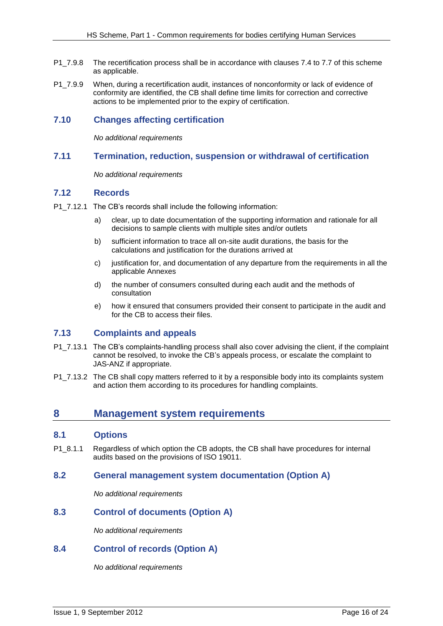- P1 7.9.8 The recertification process shall be in accordance with clauses 7.4 to 7.7 of this scheme as applicable.
- P1\_7.9.9 When, during a recertification audit, instances of nonconformity or lack of evidence of conformity are identified, the CB shall define time limits for correction and corrective actions to be implemented prior to the expiry of certification.

### <span id="page-15-0"></span>**7.10 Changes affecting certification**

*No additional requirements*

#### <span id="page-15-1"></span>**7.11 Termination, reduction, suspension or withdrawal of certification**

*No additional requirements*

### <span id="page-15-2"></span>**7.12 Records**

- P1\_7.12.1 The CB's records shall include the following information:
	- a) clear, up to date documentation of the supporting information and rationale for all decisions to sample clients with multiple sites and/or outlets
	- b) sufficient information to trace all on-site audit durations, the basis for the calculations and justification for the durations arrived at
	- c) iustification for, and documentation of any departure from the requirements in all the applicable Annexes
	- d) the number of consumers consulted during each audit and the methods of consultation
	- e) how it ensured that consumers provided their consent to participate in the audit and for the CB to access their files.

### <span id="page-15-3"></span>**7.13 Complaints and appeals**

- P1\_7.13.1 The CB's complaints-handling process shall also cover advising the client, if the complaint cannot be resolved, to invoke the CB's appeals process, or escalate the complaint to JAS-ANZ if appropriate.
- P1\_7.13.2 The CB shall copy matters referred to it by a responsible body into its complaints system and action them according to its procedures for handling complaints.

# <span id="page-15-4"></span>**8 Management system requirements**

#### <span id="page-15-5"></span>**8.1 Options**

P1  $8.1.1$  Regardless of which option the CB adopts, the CB shall have procedures for internal audits based on the provisions of ISO 19011.

### <span id="page-15-6"></span>**8.2 General management system documentation (Option A)**

*No additional requirements*

### <span id="page-15-7"></span>**8.3 Control of documents (Option A)**

*No additional requirements*

#### <span id="page-15-8"></span>**8.4 Control of records (Option A)**

*No additional requirements*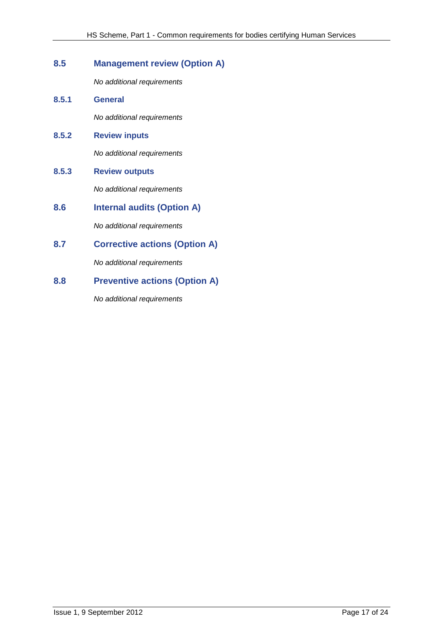# <span id="page-16-0"></span>**8.5 Management review (Option A)**

*No additional requirements*

**8.5.1 General** *No additional requirements*

# **8.5.2 Review inputs**

*No additional requirements*

**8.5.3 Review outputs**

*No additional requirements*

<span id="page-16-1"></span>**8.6 Internal audits (Option A)**

*No additional requirements*

# <span id="page-16-2"></span>**8.7 Corrective actions (Option A)**

*No additional requirements*

# <span id="page-16-3"></span>**8.8 Preventive actions (Option A)**

*No additional requirements*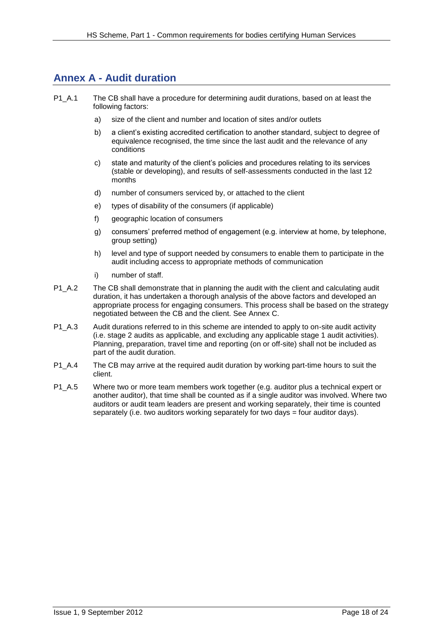# <span id="page-17-0"></span>**Annex A - Audit duration**

- P1 A.1 The CB shall have a procedure for determining audit durations, based on at least the following factors:
	- a) size of the client and number and location of sites and/or outlets
	- b) a client's existing accredited certification to another standard, subject to degree of equivalence recognised, the time since the last audit and the relevance of any conditions
	- c) state and maturity of the client's policies and procedures relating to its services (stable or developing), and results of self-assessments conducted in the last 12 months
	- d) number of consumers serviced by, or attached to the client
	- e) types of disability of the consumers (if applicable)
	- f) geographic location of consumers
	- g) consumers' preferred method of engagement (e.g. interview at home, by telephone, group setting)
	- h) level and type of support needed by consumers to enable them to participate in the audit including access to appropriate methods of communication
	- i) number of staff.
- P1 A.2 The CB shall demonstrate that in planning the audit with the client and calculating audit duration, it has undertaken a thorough analysis of the above factors and developed an appropriate process for engaging consumers. This process shall be based on the strategy negotiated between the CB and the client. See Annex C.
- P1\_A.3 Audit durations referred to in this scheme are intended to apply to on-site audit activity (i.e. stage 2 audits as applicable, and excluding any applicable stage 1 audit activities). Planning, preparation, travel time and reporting (on or off-site) shall not be included as part of the audit duration.
- P1 A.4 The CB may arrive at the required audit duration by working part-time hours to suit the client.
- P1 A.5 Where two or more team members work together (e.g. auditor plus a technical expert or another auditor), that time shall be counted as if a single auditor was involved. Where two auditors or audit team leaders are present and working separately, their time is counted separately (i.e. two auditors working separately for two days  $=$  four auditor days).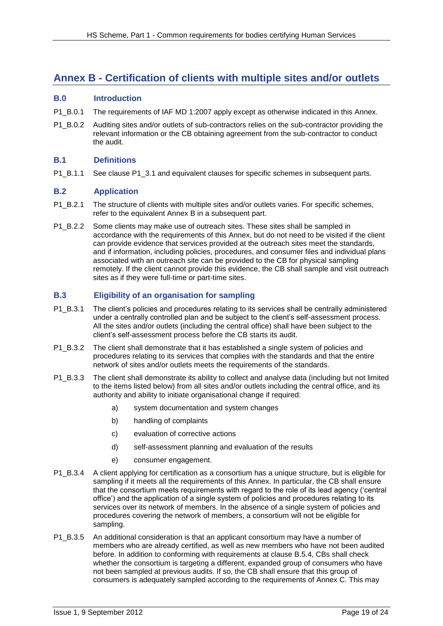# <span id="page-18-0"></span>**Annex B - Certification of clients with multiple sites and/or outlets**

#### <span id="page-18-1"></span>**B.0 Introduction**

- P1 B.0.1 The requirements of IAF MD 1:2007 apply except as otherwise indicated in this Annex.
- P1 B.0.2 Auditing sites and/or outlets of sub-contractors relies on the sub-contractor providing the relevant information or the CB obtaining agreement from the sub-contractor to conduct the audit.

#### <span id="page-18-2"></span>**B.1 Definitions**

P1 B.1.1 See clause P1 3.1 and equivalent clauses for specific schemes in subsequent parts.

#### <span id="page-18-3"></span>**B.2 Application**

- P1 B.2.1 The structure of clients with multiple sites and/or outlets varies. For specific schemes, refer to the equivalent Annex B in a subsequent part.
- P1 B.2.2 Some clients may make use of outreach sites. These sites shall be sampled in accordance with the requirements of this Annex, but do not need to be visited if the client can provide evidence that services provided at the outreach sites meet the standards, and if information, including policies, procedures, and consumer files and individual plans associated with an outreach site can be provided to the CB for physical sampling remotely. If the client cannot provide this evidence, the CB shall sample and visit outreach sites as if they were full-time or part-time sites.

### <span id="page-18-4"></span>**B.3 Eligibility of an organisation for sampling**

- P1 B.3.1 The client's policies and procedures relating to its services shall be centrally administered under a centrally controlled plan and be subject to the client's self-assessment process. All the sites and/or outlets (including the central office) shall have been subject to the client's self-assessment process before the CB starts its audit.
- P1 B.3.2 The client shall demonstrate that it has established a single system of policies and procedures relating to its services that complies with the standards and that the entire network of sites and/or outlets meets the requirements of the standards.
- P1 B.3.3 The client shall demonstrate its ability to collect and analyse data (including but not limited to the items listed below) from all sites and/or outlets including the central office, and its authority and ability to initiate organisational change if required:
	- a) system documentation and system changes
	- b) handling of complaints
	- c) evaluation of corrective actions
	- d) self-assessment planning and evaluation of the results
	- e) consumer engagement.
- P1\_B.3.4 A client applying for certification as a consortium has a unique structure, but is eligible for sampling if it meets all the requirements of this Annex. In particular, the CB shall ensure that the consortium meets requirements with regard to the role of its lead agency ('central office') and the application of a single system of policies and procedures relating to its services over its network of members. In the absence of a single system of policies and procedures covering the network of members, a consortium will not be eligible for sampling.
- P1 B.3.5 An additional consideration is that an applicant consortium may have a number of members who are already certified, as well as new members who have not been audited before. In addition to conforming with requirements at clause B.5.4, CBs shall check whether the consortium is targeting a different, expanded group of consumers who have not been sampled at previous audits. If so, the CB shall ensure that this group of consumers is adequately sampled according to the requirements of Annex C. This may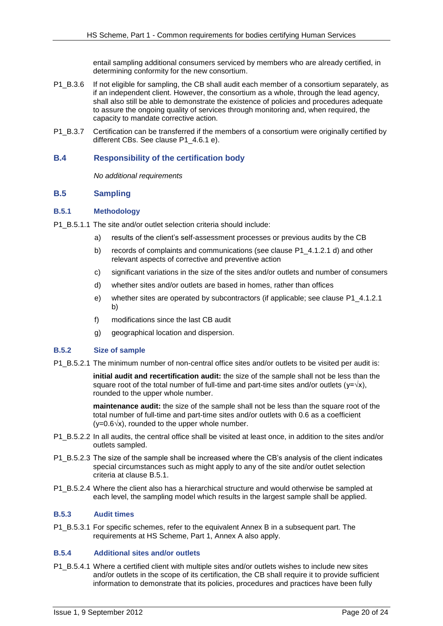entail sampling additional consumers serviced by members who are already certified, in determining conformity for the new consortium.

- P1\_B.3.6 If not eligible for sampling, the CB shall audit each member of a consortium separately, as if an independent client. However, the consortium as a whole, through the lead agency, shall also still be able to demonstrate the existence of policies and procedures adequate to assure the ongoing quality of services through monitoring and, when required, the capacity to mandate corrective action.
- P1 B.3.7 Certification can be transferred if the members of a consortium were originally certified by different CBs. See clause P1\_4.6.1 e).

#### <span id="page-19-0"></span>**B.4 Responsibility of the certification body**

*No additional requirements*

#### <span id="page-19-1"></span>**B.5 Sampling**

#### <span id="page-19-2"></span>**B.5.1 Methodology**

- P1\_B.5.1.1 The site and/or outlet selection criteria should include:
	- a) results of the client's self-assessment processes or previous audits by the CB
	- b) records of complaints and communications (see clause P1, 4.1.2.1 d) and other relevant aspects of corrective and preventive action
	- c) significant variations in the size of the sites and/or outlets and number of consumers
	- d) whether sites and/or outlets are based in homes, rather than offices
	- e) whether sites are operated by subcontractors (if applicable; see clause P1\_4.1.2.1 b)
	- f) modifications since the last CB audit
	- g) geographical location and dispersion.

#### <span id="page-19-3"></span>**B.5.2 Size of sample**

P1\_B.5.2.1 The minimum number of non-central office sites and/or outlets to be visited per audit is:

**initial audit and recertification audit:** the size of the sample shall not be less than the square root of the total number of full-time and part-time sites and/or outlets ( $y=x/x$ ), rounded to the upper whole number.

**maintenance audit:** the size of the sample shall not be less than the square root of the total number of full-time and part-time sites and/or outlets with 0.6 as a coefficient  $(y=0.6\sqrt{x})$ , rounded to the upper whole number.

- P1 B.5.2.2 In all audits, the central office shall be visited at least once, in addition to the sites and/or outlets sampled.
- P1 B.5.2.3 The size of the sample shall be increased where the CB's analysis of the client indicates special circumstances such as might apply to any of the site and/or outlet selection criteria at clause B.5.1.
- P1\_B.5.2.4 Where the client also has a hierarchical structure and would otherwise be sampled at each level, the sampling model which results in the largest sample shall be applied.

#### <span id="page-19-4"></span>**B.5.3 Audit times**

P1 B.5.3.1 For specific schemes, refer to the equivalent Annex B in a subsequent part. The requirements at HS Scheme, Part 1, Annex A also apply.

#### <span id="page-19-5"></span>**B.5.4 Additional sites and/or outlets**

P1\_B.5.4.1 Where a certified client with multiple sites and/or outlets wishes to include new sites and/or outlets in the scope of its certification, the CB shall require it to provide sufficient information to demonstrate that its policies, procedures and practices have been fully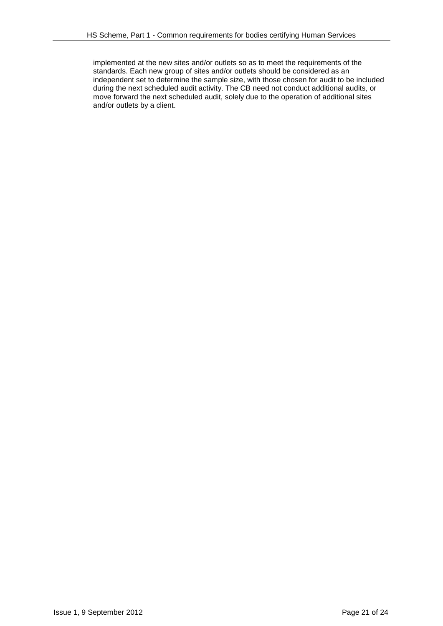implemented at the new sites and/or outlets so as to meet the requirements of the standards. Each new group of sites and/or outlets should be considered as an independent set to determine the sample size, with those chosen for audit to be included during the next scheduled audit activity. The CB need not conduct additional audits, or move forward the next scheduled audit, solely due to the operation of additional sites and/or outlets by a client.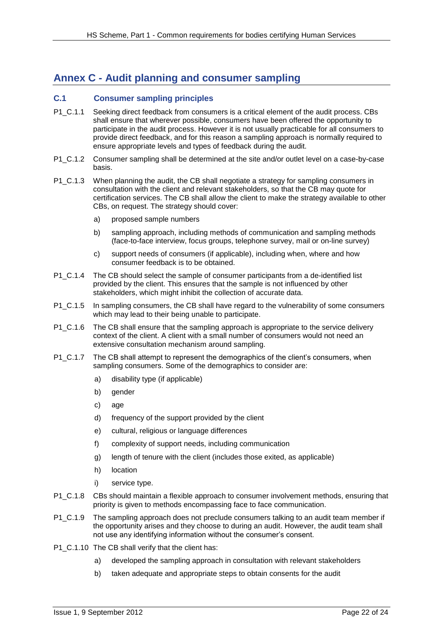# <span id="page-21-0"></span>**Annex C - Audit planning and consumer sampling**

### <span id="page-21-1"></span>**C.1 Consumer sampling principles**

- P1 C.1.1 Seeking direct feedback from consumers is a critical element of the audit process. CBs shall ensure that wherever possible, consumers have been offered the opportunity to participate in the audit process. However it is not usually practicable for all consumers to provide direct feedback, and for this reason a sampling approach is normally required to ensure appropriate levels and types of feedback during the audit.
- P1 C.1.2 Consumer sampling shall be determined at the site and/or outlet level on a case-by-case basis.
- P1\_C.1.3 When planning the audit, the CB shall negotiate a strategy for sampling consumers in consultation with the client and relevant stakeholders, so that the CB may quote for certification services. The CB shall allow the client to make the strategy available to other CBs, on request. The strategy should cover:
	- a) proposed sample numbers
	- b) sampling approach, including methods of communication and sampling methods (face-to-face interview, focus groups, telephone survey, mail or on-line survey)
	- c) support needs of consumers (if applicable), including when, where and how consumer feedback is to be obtained.
- P1\_C.1.4 The CB should select the sample of consumer participants from a de-identified list provided by the client. This ensures that the sample is not influenced by other stakeholders, which might inhibit the collection of accurate data.
- P1 C.1.5 In sampling consumers, the CB shall have regard to the vulnerability of some consumers which may lead to their being unable to participate.
- P1\_C.1.6 The CB shall ensure that the sampling approach is appropriate to the service delivery context of the client. A client with a small number of consumers would not need an extensive consultation mechanism around sampling.
- P1\_C.1.7 The CB shall attempt to represent the demographics of the client's consumers, when sampling consumers. Some of the demographics to consider are:
	- a) disability type (if applicable)
	- b) gender
	- c) age
	- d) frequency of the support provided by the client
	- e) cultural, religious or language differences
	- f) complexity of support needs, including communication
	- g) length of tenure with the client (includes those exited, as applicable)
	- h) location
	- i) service type.
- P1 C.1.8 CBs should maintain a flexible approach to consumer involvement methods, ensuring that priority is given to methods encompassing face to face communication.
- P1 C.1.9 The sampling approach does not preclude consumers talking to an audit team member if the opportunity arises and they choose to during an audit. However, the audit team shall not use any identifying information without the consumer's consent.
- P1\_C.1.10 The CB shall verify that the client has:
	- a) developed the sampling approach in consultation with relevant stakeholders
	- b) taken adequate and appropriate steps to obtain consents for the audit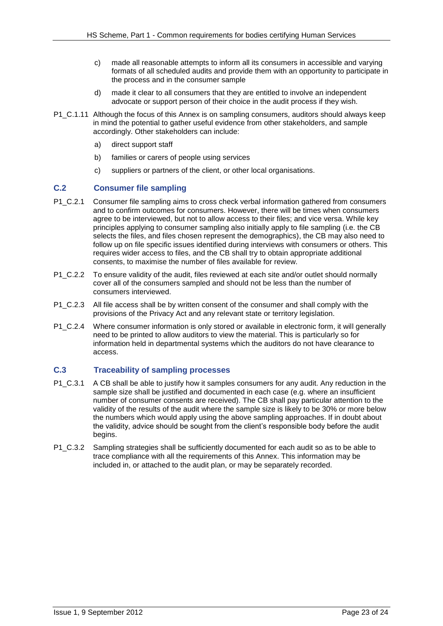- c) made all reasonable attempts to inform all its consumers in accessible and varying formats of all scheduled audits and provide them with an opportunity to participate in the process and in the consumer sample
- d) made it clear to all consumers that they are entitled to involve an independent advocate or support person of their choice in the audit process if they wish.
- P1 C.1.11 Although the focus of this Annex is on sampling consumers, auditors should always keep in mind the potential to gather useful evidence from other stakeholders, and sample accordingly. Other stakeholders can include:
	- a) direct support staff
	- b) families or carers of people using services
	- c) suppliers or partners of the client, or other local organisations.

#### <span id="page-22-0"></span>**C.2 Consumer file sampling**

- P1 C.2.1 Consumer file sampling aims to cross check verbal information gathered from consumers and to confirm outcomes for consumers. However, there will be times when consumers agree to be interviewed, but not to allow access to their files; and vice versa. While key principles applying to consumer sampling also initially apply to file sampling (i.e. the CB selects the files, and files chosen represent the demographics), the CB may also need to follow up on file specific issues identified during interviews with consumers or others. This requires wider access to files, and the CB shall try to obtain appropriate additional consents, to maximise the number of files available for review.
- P1 C.2.2 To ensure validity of the audit, files reviewed at each site and/or outlet should normally cover all of the consumers sampled and should not be less than the number of consumers interviewed.
- P1 C.2.3 All file access shall be by written consent of the consumer and shall comply with the provisions of the Privacy Act and any relevant state or territory legislation.
- P1 C.2.4 Where consumer information is only stored or available in electronic form, it will generally need to be printed to allow auditors to view the material. This is particularly so for information held in departmental systems which the auditors do not have clearance to access.

#### <span id="page-22-1"></span>**C.3 Traceability of sampling processes**

- P1 C.3.1 A CB shall be able to justify how it samples consumers for any audit. Any reduction in the sample size shall be justified and documented in each case (e.g. where an insufficient number of consumer consents are received). The CB shall pay particular attention to the validity of the results of the audit where the sample size is likely to be 30% or more below the numbers which would apply using the above sampling approaches. If in doubt about the validity, advice should be sought from the client's responsible body before the audit begins.
- P1 C.3.2 Sampling strategies shall be sufficiently documented for each audit so as to be able to trace compliance with all the requirements of this Annex. This information may be included in, or attached to the audit plan, or may be separately recorded.